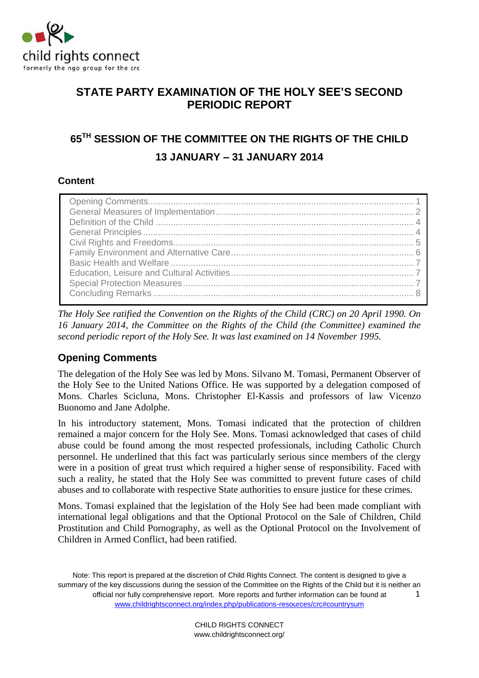

# **STATE PARTY EXAMINATION OF THE HOLY SEE'S SECOND PERIODIC REPORT**

# **65TH SESSION OF THE COMMITTEE ON THE RIGHTS OF THE CHILD 13 JANUARY – 31 JANUARY 2014**

# **Content**

*The Holy See ratified the Convention on the Rights of the Child (CRC) on 20 April 1990. On 16 January 2014, the Committee on the Rights of the Child (the Committee) examined the second periodic report of the Holy See. It was last examined on 14 November 1995.* 

# <span id="page-0-0"></span>**Opening Comments**

The delegation of the Holy See was led by Mons. Silvano M. Tomasi, Permanent Observer of the Holy See to the United Nations Office. He was supported by a delegation composed of Mons. Charles Scicluna, Mons. Christopher El-Kassis and professors of law Vicenzo Buonomo and Jane Adolphe.

In his introductory statement, Mons. Tomasi indicated that the protection of children remained a major concern for the Holy See. Mons. Tomasi acknowledged that cases of child abuse could be found among the most respected professionals, including Catholic Church personnel. He underlined that this fact was particularly serious since members of the clergy were in a position of great trust which required a higher sense of responsibility. Faced with such a reality, he stated that the Holy See was committed to prevent future cases of child abuses and to collaborate with respective State authorities to ensure justice for these crimes.

Mons. Tomasi explained that the legislation of the Holy See had been made compliant with international legal obligations and that the Optional Protocol on the Sale of Children, Child Prostitution and Child Pornography, as well as the Optional Protocol on the Involvement of Children in Armed Conflict, had been ratified.

Note: This report is prepared at the discretion of Child Rights Connect. The content is designed to give a summary of the key discussions during the session of the Committee on the Rights of the Child but it is neither an official nor fully comprehensive report. More reports and further information can be found at [www.childrightsconnect.org/index.php/publications-resources/crc#countrysum](http://www.childrightsconnect.org/index.php/publications-resources/crc#countrysum) 1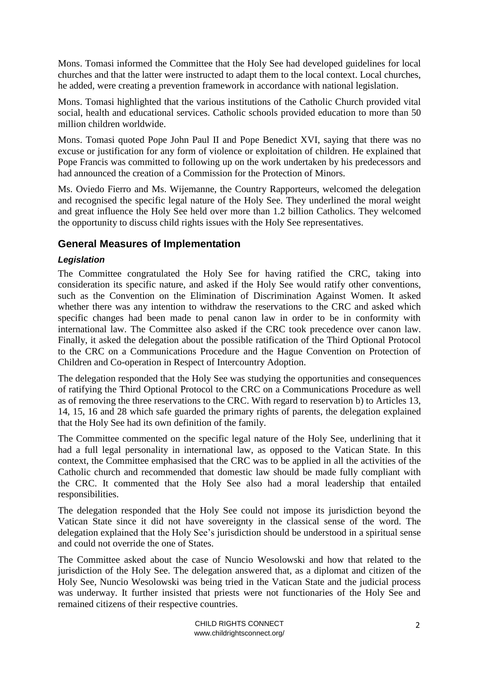Mons. Tomasi informed the Committee that the Holy See had developed guidelines for local churches and that the latter were instructed to adapt them to the local context. Local churches, he added, were creating a prevention framework in accordance with national legislation.

Mons. Tomasi highlighted that the various institutions of the Catholic Church provided vital social, health and educational services. Catholic schools provided education to more than 50 million children worldwide.

Mons. Tomasi quoted Pope John Paul II and Pope Benedict XVI, saying that there was no excuse or justification for any form of violence or exploitation of children. He explained that Pope Francis was committed to following up on the work undertaken by his predecessors and had announced the creation of a Commission for the Protection of Minors.

Ms. Oviedo Fierro and Ms. Wijemanne, the Country Rapporteurs, welcomed the delegation and recognised the specific legal nature of the Holy See. They underlined the moral weight and great influence the Holy See held over more than 1.2 billion Catholics. They welcomed the opportunity to discuss child rights issues with the Holy See representatives.

# <span id="page-1-0"></span>**General Measures of Implementation**

### *Legislation*

The Committee congratulated the Holy See for having ratified the CRC, taking into consideration its specific nature, and asked if the Holy See would ratify other conventions, such as the Convention on the Elimination of Discrimination Against Women. It asked whether there was any intention to withdraw the reservations to the CRC and asked which specific changes had been made to penal canon law in order to be in conformity with international law. The Committee also asked if the CRC took precedence over canon law. Finally, it asked the delegation about the possible ratification of the Third Optional Protocol to the CRC on a Communications Procedure and the Hague Convention on Protection of Children and Co-operation in Respect of Intercountry Adoption.

The delegation responded that the Holy See was studying the opportunities and consequences of ratifying the Third Optional Protocol to the CRC on a Communications Procedure as well as of removing the three reservations to the CRC. With regard to reservation b) to Articles 13, 14, 15, 16 and 28 which safe guarded the primary rights of parents, the delegation explained that the Holy See had its own definition of the family.

The Committee commented on the specific legal nature of the Holy See, underlining that it had a full legal personality in international law, as opposed to the Vatican State. In this context, the Committee emphasised that the CRC was to be applied in all the activities of the Catholic church and recommended that domestic law should be made fully compliant with the CRC. It commented that the Holy See also had a moral leadership that entailed responsibilities.

The delegation responded that the Holy See could not impose its jurisdiction beyond the Vatican State since it did not have sovereignty in the classical sense of the word. The delegation explained that the Holy See's jurisdiction should be understood in a spiritual sense and could not override the one of States.

The Committee asked about the case of Nuncio Wesolowski and how that related to the jurisdiction of the Holy See. The delegation answered that, as a diplomat and citizen of the Holy See, Nuncio Wesolowski was being tried in the Vatican State and the judicial process was underway. It further insisted that priests were not functionaries of the Holy See and remained citizens of their respective countries.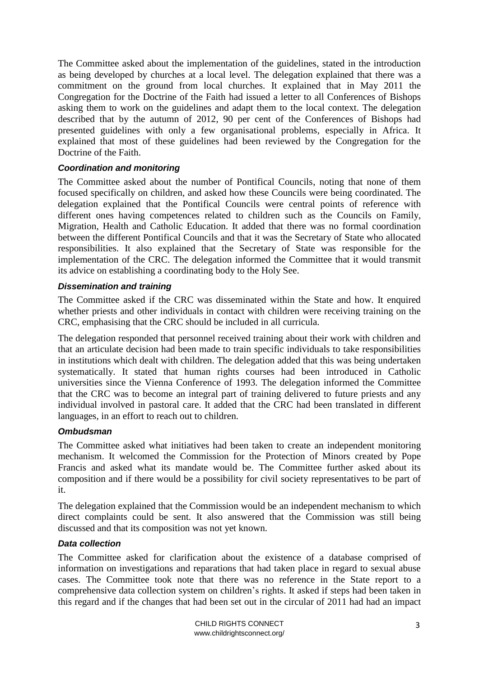The Committee asked about the implementation of the guidelines, stated in the introduction as being developed by churches at a local level. The delegation explained that there was a commitment on the ground from local churches. It explained that in May 2011 the Congregation for the Doctrine of the Faith had issued a letter to all Conferences of Bishops asking them to work on the guidelines and adapt them to the local context. The delegation described that by the autumn of 2012, 90 per cent of the Conferences of Bishops had presented guidelines with only a few organisational problems, especially in Africa. It explained that most of these guidelines had been reviewed by the Congregation for the Doctrine of the Faith.

### *Coordination and monitoring*

The Committee asked about the number of Pontifical Councils, noting that none of them focused specifically on children, and asked how these Councils were being coordinated. The delegation explained that the Pontifical Councils were central points of reference with different ones having competences related to children such as the Councils on Family, Migration, Health and Catholic Education. It added that there was no formal coordination between the different Pontifical Councils and that it was the Secretary of State who allocated responsibilities. It also explained that the Secretary of State was responsible for the implementation of the CRC. The delegation informed the Committee that it would transmit its advice on establishing a coordinating body to the Holy See.

#### *Dissemination and training*

The Committee asked if the CRC was disseminated within the State and how. It enquired whether priests and other individuals in contact with children were receiving training on the CRC, emphasising that the CRC should be included in all curricula.

The delegation responded that personnel received training about their work with children and that an articulate decision had been made to train specific individuals to take responsibilities in institutions which dealt with children. The delegation added that this was being undertaken systematically. It stated that human rights courses had been introduced in Catholic universities since the Vienna Conference of 1993. The delegation informed the Committee that the CRC was to become an integral part of training delivered to future priests and any individual involved in pastoral care. It added that the CRC had been translated in different languages, in an effort to reach out to children.

#### *Ombudsman*

The Committee asked what initiatives had been taken to create an independent monitoring mechanism. It welcomed the Commission for the Protection of Minors created by Pope Francis and asked what its mandate would be. The Committee further asked about its composition and if there would be a possibility for civil society representatives to be part of it.

The delegation explained that the Commission would be an independent mechanism to which direct complaints could be sent. It also answered that the Commission was still being discussed and that its composition was not yet known.

#### *Data collection*

The Committee asked for clarification about the existence of a database comprised of information on investigations and reparations that had taken place in regard to sexual abuse cases. The Committee took note that there was no reference in the State report to a comprehensive data collection system on children's rights. It asked if steps had been taken in this regard and if the changes that had been set out in the circular of 2011 had had an impact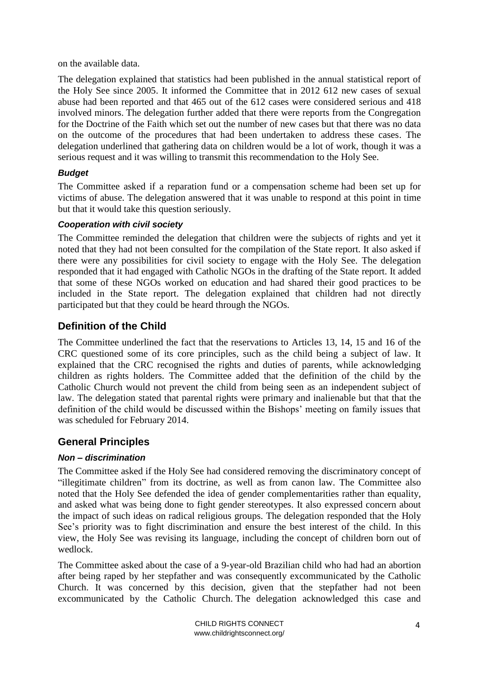on the available data.

The delegation explained that statistics had been published in the annual statistical report of the Holy See since 2005. It informed the Committee that in 2012 612 new cases of sexual abuse had been reported and that 465 out of the 612 cases were considered serious and 418 involved minors. The delegation further added that there were reports from the Congregation for the Doctrine of the Faith which set out the number of new cases but that there was no data on the outcome of the procedures that had been undertaken to address these cases. The delegation underlined that gathering data on children would be a lot of work, though it was a serious request and it was willing to transmit this recommendation to the Holy See.

# *Budget*

The Committee asked if a reparation fund or a compensation scheme had been set up for victims of abuse. The delegation answered that it was unable to respond at this point in time but that it would take this question seriously.

### *Cooperation with civil society*

The Committee reminded the delegation that children were the subjects of rights and yet it noted that they had not been consulted for the compilation of the State report. It also asked if there were any possibilities for civil society to engage with the Holy See. The delegation responded that it had engaged with Catholic NGOs in the drafting of the State report. It added that some of these NGOs worked on education and had shared their good practices to be included in the State report. The delegation explained that children had not directly participated but that they could be heard through the NGOs.

# <span id="page-3-0"></span>**Definition of the Child**

The Committee underlined the fact that the reservations to Articles 13, 14, 15 and 16 of the CRC questioned some of its core principles, such as the child being a subject of law. It explained that the CRC recognised the rights and duties of parents, while acknowledging children as rights holders. The Committee added that the definition of the child by the Catholic Church would not prevent the child from being seen as an independent subject of law. The delegation stated that parental rights were primary and inalienable but that that the definition of the child would be discussed within the Bishops' meeting on family issues that was scheduled for February 2014.

# <span id="page-3-1"></span>**General Principles**

# *Non – discrimination*

The Committee asked if the Holy See had considered removing the discriminatory concept of "illegitimate children" from its doctrine, as well as from canon law. The Committee also noted that the Holy See defended the idea of gender complementarities rather than equality, and asked what was being done to fight gender stereotypes. It also expressed concern about the impact of such ideas on radical religious groups. The delegation responded that the Holy See's priority was to fight discrimination and ensure the best interest of the child. In this view, the Holy See was revising its language, including the concept of children born out of wedlock.

The Committee asked about the case of a 9-year-old Brazilian child who had had an abortion after being raped by her stepfather and was consequently excommunicated by the Catholic Church. It was concerned by this decision, given that the stepfather had not been excommunicated by the Catholic Church. The delegation acknowledged this case and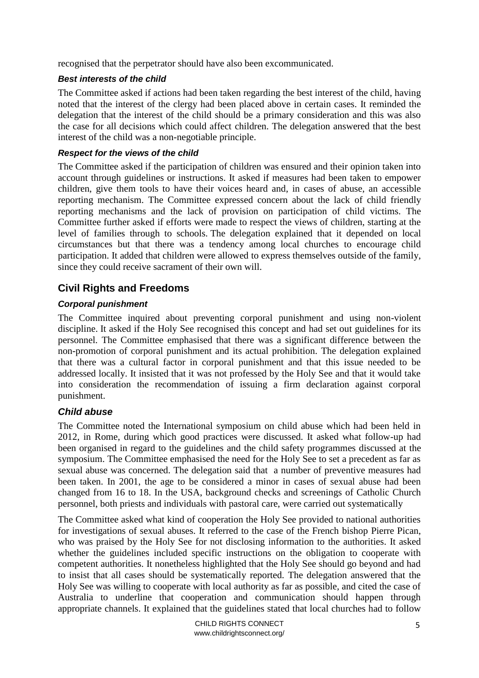recognised that the perpetrator should have also been excommunicated.

### *Best interests of the child*

The Committee asked if actions had been taken regarding the best interest of the child, having noted that the interest of the clergy had been placed above in certain cases. It reminded the delegation that the interest of the child should be a primary consideration and this was also the case for all decisions which could affect children. The delegation answered that the best interest of the child was a non-negotiable principle.

#### *Respect for the views of the child*

The Committee asked if the participation of children was ensured and their opinion taken into account through guidelines or instructions. It asked if measures had been taken to empower children, give them tools to have their voices heard and, in cases of abuse, an accessible reporting mechanism. The Committee expressed concern about the lack of child friendly reporting mechanisms and the lack of provision on participation of child victims. The Committee further asked if efforts were made to respect the views of children, starting at the level of families through to schools. The delegation explained that it depended on local circumstances but that there was a tendency among local churches to encourage child participation. It added that children were allowed to express themselves outside of the family, since they could receive sacrament of their own will.

# <span id="page-4-0"></span>**Civil Rights and Freedoms**

### *Corporal punishment*

The Committee inquired about preventing corporal punishment and using non-violent discipline. It asked if the Holy See recognised this concept and had set out guidelines for its personnel. The Committee emphasised that there was a significant difference between the non-promotion of corporal punishment and its actual prohibition. The delegation explained that there was a cultural factor in corporal punishment and that this issue needed to be addressed locally. It insisted that it was not professed by the Holy See and that it would take into consideration the recommendation of issuing a firm declaration against corporal punishment.

# *Child abuse*

The Committee noted the International symposium on child abuse which had been held in 2012, in Rome, during which good practices were discussed. It asked what follow-up had been organised in regard to the guidelines and the child safety programmes discussed at the symposium. The Committee emphasised the need for the Holy See to set a precedent as far as sexual abuse was concerned. The delegation said that a number of preventive measures had been taken. In 2001, the age to be considered a minor in cases of sexual abuse had been changed from 16 to 18. In the USA, background checks and screenings of Catholic Church personnel, both priests and individuals with pastoral care, were carried out systematically

The Committee asked what kind of cooperation the Holy See provided to national authorities for investigations of sexual abuses. It referred to the case of the French bishop Pierre Pican, who was praised by the Holy See for not disclosing information to the authorities. It asked whether the guidelines included specific instructions on the obligation to cooperate with competent authorities. It nonetheless highlighted that the Holy See should go beyond and had to insist that all cases should be systematically reported. The delegation answered that the Holy See was willing to cooperate with local authority as far as possible, and cited the case of Australia to underline that cooperation and communication should happen through appropriate channels. It explained that the guidelines stated that local churches had to follow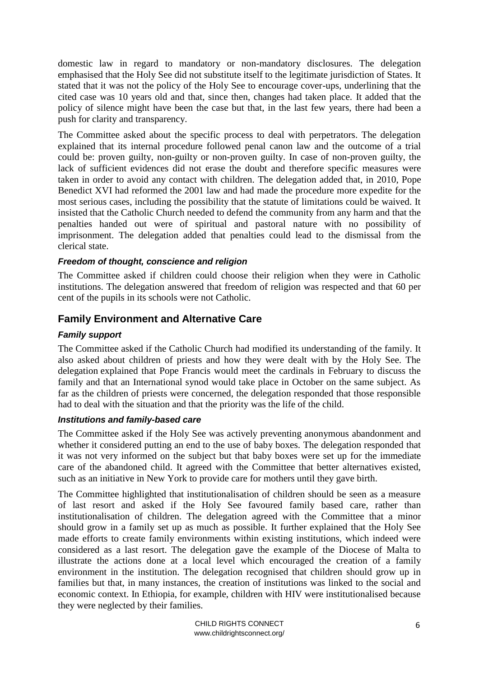domestic law in regard to mandatory or non-mandatory disclosures. The delegation emphasised that the Holy See did not substitute itself to the legitimate jurisdiction of States. It stated that it was not the policy of the Holy See to encourage cover-ups, underlining that the cited case was 10 years old and that, since then, changes had taken place. It added that the policy of silence might have been the case but that, in the last few years, there had been a push for clarity and transparency.

The Committee asked about the specific process to deal with perpetrators. The delegation explained that its internal procedure followed penal canon law and the outcome of a trial could be: proven guilty, non-guilty or non-proven guilty. In case of non-proven guilty, the lack of sufficient evidences did not erase the doubt and therefore specific measures were taken in order to avoid any contact with children. The delegation added that, in 2010, Pope Benedict XVI had reformed the 2001 law and had made the procedure more expedite for the most serious cases, including the possibility that the statute of limitations could be waived. It insisted that the Catholic Church needed to defend the community from any harm and that the penalties handed out were of spiritual and pastoral nature with no possibility of imprisonment. The delegation added that penalties could lead to the dismissal from the clerical state.

### *Freedom of thought, conscience and religion*

The Committee asked if children could choose their religion when they were in Catholic institutions. The delegation answered that freedom of religion was respected and that 60 per cent of the pupils in its schools were not Catholic.

# <span id="page-5-0"></span>**Family Environment and Alternative Care**

#### *Family support*

The Committee asked if the Catholic Church had modified its understanding of the family. It also asked about children of priests and how they were dealt with by the Holy See. The delegation explained that Pope Francis would meet the cardinals in February to discuss the family and that an International synod would take place in October on the same subject. As far as the children of priests were concerned, the delegation responded that those responsible had to deal with the situation and that the priority was the life of the child.

#### *Institutions and family-based care*

The Committee asked if the Holy See was actively preventing anonymous abandonment and whether it considered putting an end to the use of baby boxes. The delegation responded that it was not very informed on the subject but that baby boxes were set up for the immediate care of the abandoned child. It agreed with the Committee that better alternatives existed, such as an initiative in New York to provide care for mothers until they gave birth.

The Committee highlighted that institutionalisation of children should be seen as a measure of last resort and asked if the Holy See favoured family based care, rather than institutionalisation of children. The delegation agreed with the Committee that a minor should grow in a family set up as much as possible. It further explained that the Holy See made efforts to create family environments within existing institutions, which indeed were considered as a last resort. The delegation gave the example of the Diocese of Malta to illustrate the actions done at a local level which encouraged the creation of a family environment in the institution. The delegation recognised that children should grow up in families but that, in many instances, the creation of institutions was linked to the social and economic context. In Ethiopia, for example, children with HIV were institutionalised because they were neglected by their families.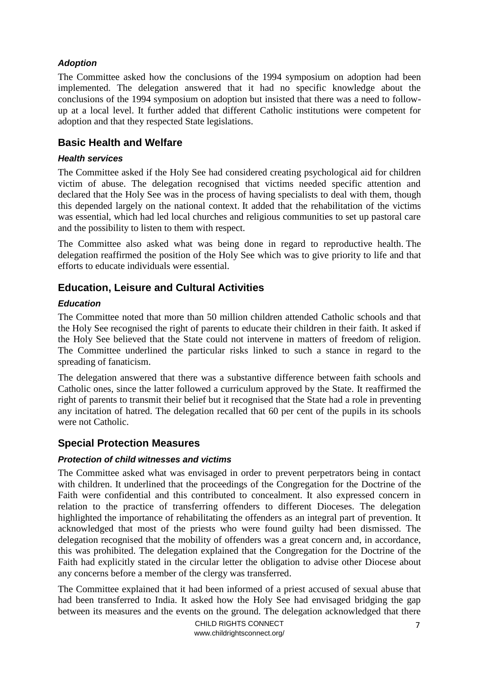### *Adoption*

The Committee asked how the conclusions of the 1994 symposium on adoption had been implemented. The delegation answered that it had no specific knowledge about the conclusions of the 1994 symposium on adoption but insisted that there was a need to followup at a local level. It further added that different Catholic institutions were competent for adoption and that they respected State legislations.

# <span id="page-6-0"></span>**Basic Health and Welfare**

#### *Health services*

The Committee asked if the Holy See had considered creating psychological aid for children victim of abuse. The delegation recognised that victims needed specific attention and declared that the Holy See was in the process of having specialists to deal with them, though this depended largely on the national context. It added that the rehabilitation of the victims was essential, which had led local churches and religious communities to set up pastoral care and the possibility to listen to them with respect.

The Committee also asked what was being done in regard to reproductive health. The delegation reaffirmed the position of the Holy See which was to give priority to life and that efforts to educate individuals were essential.

# <span id="page-6-1"></span>**Education, Leisure and Cultural Activities**

### *Education*

The Committee noted that more than 50 million children attended Catholic schools and that the Holy See recognised the right of parents to educate their children in their faith. It asked if the Holy See believed that the State could not intervene in matters of freedom of religion. The Committee underlined the particular risks linked to such a stance in regard to the spreading of fanaticism.

The delegation answered that there was a substantive difference between faith schools and Catholic ones, since the latter followed a curriculum approved by the State. It reaffirmed the right of parents to transmit their belief but it recognised that the State had a role in preventing any incitation of hatred. The delegation recalled that 60 per cent of the pupils in its schools were not Catholic.

# <span id="page-6-2"></span>**Special Protection Measures**

### *Protection of child witnesses and victims*

The Committee asked what was envisaged in order to prevent perpetrators being in contact with children. It underlined that the proceedings of the Congregation for the Doctrine of the Faith were confidential and this contributed to concealment. It also expressed concern in relation to the practice of transferring offenders to different Dioceses. The delegation highlighted the importance of rehabilitating the offenders as an integral part of prevention. It acknowledged that most of the priests who were found guilty had been dismissed. The delegation recognised that the mobility of offenders was a great concern and, in accordance, this was prohibited. The delegation explained that the Congregation for the Doctrine of the Faith had explicitly stated in the circular letter the obligation to advise other Diocese about any concerns before a member of the clergy was transferred.

The Committee explained that it had been informed of a priest accused of sexual abuse that had been transferred to India. It asked how the Holy See had envisaged bridging the gap between its measures and the events on the ground. The delegation acknowledged that there